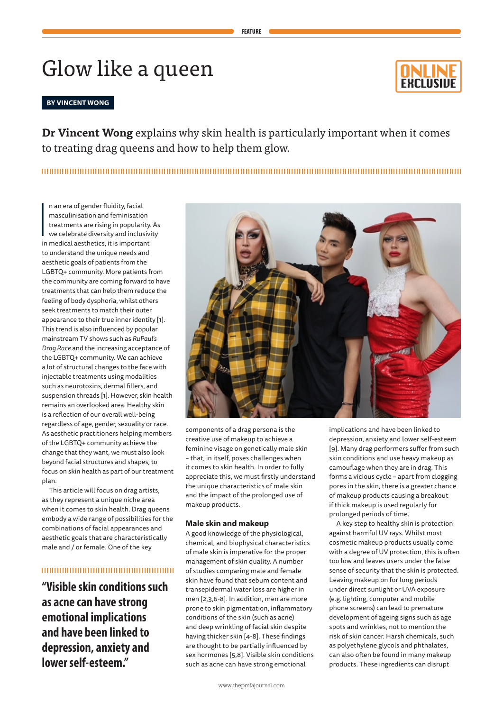# Glow like a queen

#### **BY VINCENT WONG**

**Dr Vincent Wong** explains why skin health is particularly important when it comes to treating drag queens and how to help them glow.

## 

n an era of gender fluidity, facial<br>masculinisation and feminisation<br>treatments are rising in popularity.<br>we celebrate diversity and inclusiv<br>in medical aesthetics, it is important n an era of gender fluidity, facial masculinisation and feminisation treatments are rising in popularity. As we celebrate diversity and inclusivity to understand the unique needs and aesthetic goals of patients from the LGBTQ+ community. More patients from the community are coming forward to have treatments that can help them reduce the feeling of body dysphoria, whilst others seek treatments to match their outer appearance to their true inner identity [1]. This trend is also influenced by popular mainstream TV shows such as *RuPaul's Drag Race* and the increasing acceptance of the LGBTQ+ community. We can achieve a lot of structural changes to the face with injectable treatments using modalities such as neurotoxins, dermal fillers, and suspension threads [1]. However, skin health remains an overlooked area. Healthy skin is a reflection of our overall well-being regardless of age, gender, sexuality or race. As aesthetic practitioners helping members of the LGBTQ+ community achieve the change that they want, we must also look beyond facial structures and shapes, to focus on skin health as part of our treatment plan.

This article will focus on drag artists, as they represent a unique niche area when it comes to skin health. Drag queens embody a wide range of possibilities for the combinations of facial appearances and aesthetic goals that are characteristically male and / or female. One of the key

## 

**"Visible skin conditions such as acne can have strong emotional implications and have been linked to depression, anxiety and lower self-esteem."**



components of a drag persona is the creative use of makeup to achieve a feminine visage on genetically male skin – that, in itself, poses challenges when it comes to skin health. In order to fully appreciate this, we must firstly understand the unique characteristics of male skin and the impact of the prolonged use of makeup products.

#### **Male skin and makeup**

A good knowledge of the physiological, chemical, and biophysical characteristics of male skin is imperative for the proper management of skin quality. A number of studies comparing male and female skin have found that sebum content and transepidermal water loss are higher in men [2,3,6-8]. In addition, men are more prone to skin pigmentation, inflammatory conditions of the skin (such as acne) and deep wrinkling of facial skin despite having thicker skin [4-8]. These findings are thought to be partially influenced by sex hormones [5,8]. Visible skin conditions such as acne can have strong emotional

implications and have been linked to depression, anxiety and lower self-esteem [9]. Many drag performers suffer from such skin conditions and use heavy makeup as camouflage when they are in drag. This forms a vicious cycle – apart from clogging pores in the skin, there is a greater chance of makeup products causing a breakout if thick makeup is used regularly for prolonged periods of time.

A key step to healthy skin is protection against harmful UV rays. Whilst most cosmetic makeup products usually come with a degree of UV protection, this is often too low and leaves users under the false sense of security that the skin is protected. Leaving makeup on for long periods under direct sunlight or UVA exposure (e.g. lighting, computer and mobile phone screens) can lead to premature development of ageing signs such as age spots and wrinkles, not to mention the risk of skin cancer. Harsh chemicals, such as polyethylene glycols and phthalates, can also often be found in many makeup products. These ingredients can disrupt